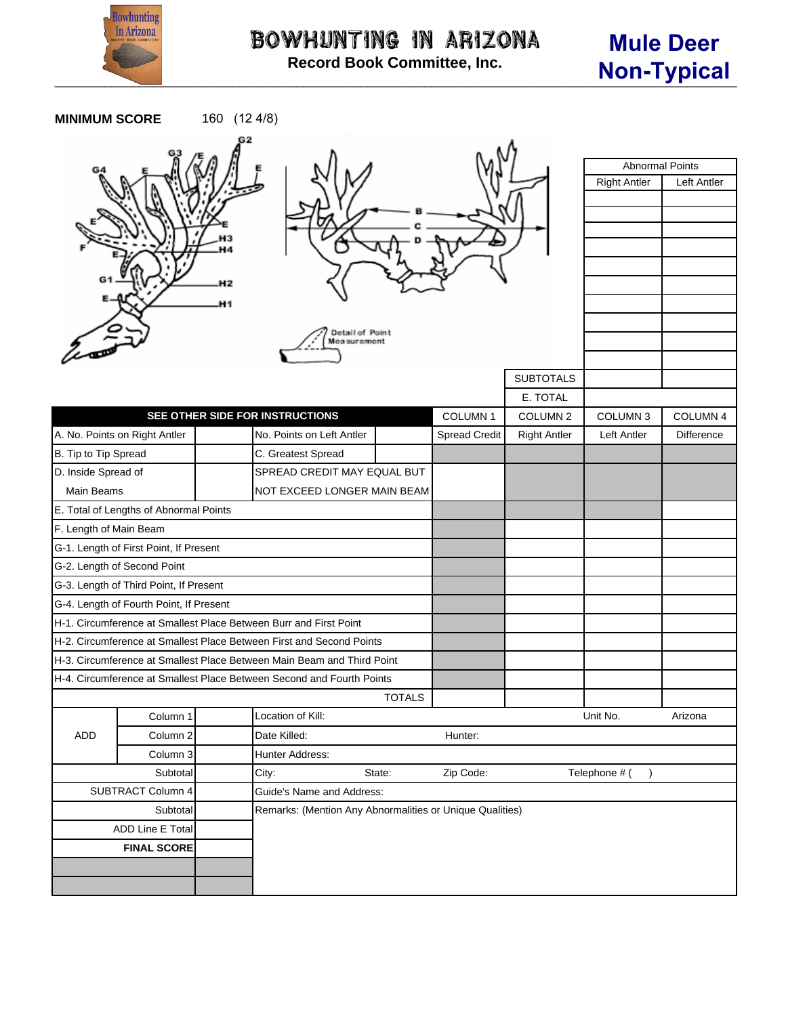

| <b>MINIMUM SCORE</b>                    |                                        | 160 (12 4/8) |                                                                        |               |                      |                     |                                               |             |
|-----------------------------------------|----------------------------------------|--------------|------------------------------------------------------------------------|---------------|----------------------|---------------------|-----------------------------------------------|-------------|
|                                         |                                        | H1           | Detail of Point<br>Mea surement                                        |               |                      |                     | <b>Abnormal Points</b><br><b>Right Antler</b> | Left Antler |
|                                         |                                        |              |                                                                        |               |                      | <b>SUBTOTALS</b>    |                                               |             |
|                                         |                                        |              |                                                                        |               |                      | E. TOTAL            |                                               |             |
|                                         |                                        |              | SEE OTHER SIDE FOR INSTRUCTIONS                                        |               | COLUMN 1             | COLUMN <sub>2</sub> | COLUMN <sub>3</sub>                           | COLUMN 4    |
|                                         | A. No. Points on Right Antler          |              | No. Points on Left Antler                                              |               | <b>Spread Credit</b> | <b>Right Antler</b> | <b>Left Antler</b>                            | Difference  |
| B. Tip to Tip Spread                    |                                        |              | C. Greatest Spread                                                     |               |                      |                     |                                               |             |
| D. Inside Spread of                     |                                        |              | SPREAD CREDIT MAY EQUAL BUT                                            |               |                      |                     |                                               |             |
| Main Beams                              |                                        |              | NOT EXCEED LONGER MAIN BEAM                                            |               |                      |                     |                                               |             |
|                                         | E. Total of Lengths of Abnormal Points |              |                                                                        |               |                      |                     |                                               |             |
| F. Length of Main Beam                  |                                        |              |                                                                        |               |                      |                     |                                               |             |
|                                         | G-1. Length of First Point, If Present |              |                                                                        |               |                      |                     |                                               |             |
| G-2. Length of Second Point             |                                        |              |                                                                        |               |                      |                     |                                               |             |
| G-3. Length of Third Point, If Present  |                                        |              |                                                                        |               |                      |                     |                                               |             |
| G-4. Length of Fourth Point, If Present |                                        |              |                                                                        |               |                      |                     |                                               |             |
|                                         |                                        |              | H-1. Circumference at Smallest Place Between Burr and First Point      |               |                      |                     |                                               |             |
|                                         |                                        |              | H-2. Circumference at Smallest Place Between First and Second Points   |               |                      |                     |                                               |             |
|                                         |                                        |              | H-3. Circumference at Smallest Place Between Main Beam and Third Point |               |                      |                     |                                               |             |
|                                         |                                        |              | H-4. Circumference at Smallest Place Between Second and Fourth Points  |               |                      |                     |                                               |             |
|                                         |                                        |              |                                                                        | <b>TOTALS</b> |                      |                     |                                               |             |
|                                         | Column 1                               |              | Location of Kill:                                                      |               |                      |                     | Unit No.                                      | Arizona     |
| ADD                                     | Column 2                               |              | Date Killed:                                                           |               |                      |                     |                                               |             |
|                                         | Column 3                               |              | Hunter Address:                                                        |               | Hunter:              |                     |                                               |             |
| Subtotal                                |                                        |              | Zip Code:<br>City:<br>State:                                           |               |                      | Telephone # (       |                                               |             |
| SUBTRACT Column 4                       |                                        |              | Guide's Name and Address:                                              |               |                      |                     |                                               |             |
| Subtotal                                |                                        |              | Remarks: (Mention Any Abnormalities or Unique Qualities)               |               |                      |                     |                                               |             |
| ADD Line E Total                        |                                        |              |                                                                        |               |                      |                     |                                               |             |
| <b>FINAL SCORE</b>                      |                                        |              |                                                                        |               |                      |                     |                                               |             |
|                                         |                                        |              |                                                                        |               |                      |                     |                                               |             |
|                                         |                                        |              |                                                                        |               |                      |                     |                                               |             |